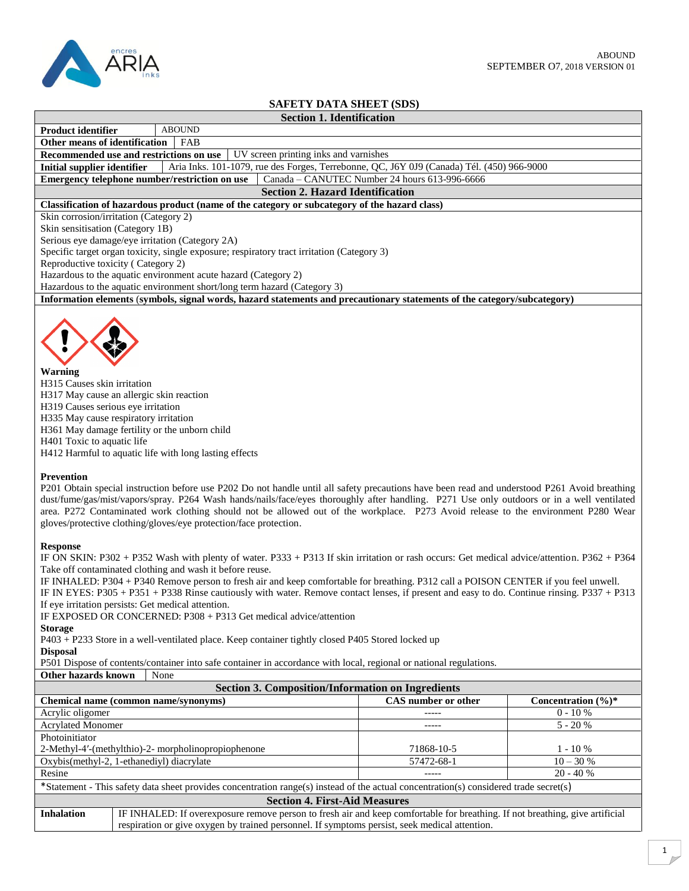

| <b>SAFETY DATA SHEET (SDS)</b>                                                                                                                                                                                                                                                                                                                                                                                                                                                                                             |  |  |  |  |  |  |
|----------------------------------------------------------------------------------------------------------------------------------------------------------------------------------------------------------------------------------------------------------------------------------------------------------------------------------------------------------------------------------------------------------------------------------------------------------------------------------------------------------------------------|--|--|--|--|--|--|
| <b>Section 1. Identification</b>                                                                                                                                                                                                                                                                                                                                                                                                                                                                                           |  |  |  |  |  |  |
| <b>ABOUND</b><br>Product identifier                                                                                                                                                                                                                                                                                                                                                                                                                                                                                        |  |  |  |  |  |  |
| Other means of identification<br>FAB                                                                                                                                                                                                                                                                                                                                                                                                                                                                                       |  |  |  |  |  |  |
| Recommended use and restrictions on use<br>UV screen printing inks and varnishes                                                                                                                                                                                                                                                                                                                                                                                                                                           |  |  |  |  |  |  |
| <b>Initial supplier identifier</b><br>Aria Inks. 101-1079, rue des Forges, Terrebonne, QC, J6Y 0J9 (Canada) Tél. (450) 966-9000                                                                                                                                                                                                                                                                                                                                                                                            |  |  |  |  |  |  |
| Canada - CANUTEC Number 24 hours 613-996-6666<br>Emergency telephone number/restriction on use                                                                                                                                                                                                                                                                                                                                                                                                                             |  |  |  |  |  |  |
| <b>Section 2. Hazard Identification</b>                                                                                                                                                                                                                                                                                                                                                                                                                                                                                    |  |  |  |  |  |  |
| Classification of hazardous product (name of the category or subcategory of the hazard class)                                                                                                                                                                                                                                                                                                                                                                                                                              |  |  |  |  |  |  |
| Skin corrosion/irritation (Category 2)                                                                                                                                                                                                                                                                                                                                                                                                                                                                                     |  |  |  |  |  |  |
| Skin sensitisation (Category 1B)                                                                                                                                                                                                                                                                                                                                                                                                                                                                                           |  |  |  |  |  |  |
| Serious eye damage/eye irritation (Category 2A)                                                                                                                                                                                                                                                                                                                                                                                                                                                                            |  |  |  |  |  |  |
| Specific target organ toxicity, single exposure; respiratory tract irritation (Category 3)                                                                                                                                                                                                                                                                                                                                                                                                                                 |  |  |  |  |  |  |
| Reproductive toxicity (Category 2)                                                                                                                                                                                                                                                                                                                                                                                                                                                                                         |  |  |  |  |  |  |
| Hazardous to the aquatic environment acute hazard (Category 2)                                                                                                                                                                                                                                                                                                                                                                                                                                                             |  |  |  |  |  |  |
| Hazardous to the aquatic environment short/long term hazard (Category 3)                                                                                                                                                                                                                                                                                                                                                                                                                                                   |  |  |  |  |  |  |
| Information elements (symbols, signal words, hazard statements and precautionary statements of the category/subcategory)                                                                                                                                                                                                                                                                                                                                                                                                   |  |  |  |  |  |  |
| Warning<br>H315 Causes skin irritation<br>H317 May cause an allergic skin reaction<br>H319 Causes serious eye irritation<br>H335 May cause respiratory irritation<br>H361 May damage fertility or the unborn child<br>H401 Toxic to aquatic life<br>H412 Harmful to aquatic life with long lasting effects                                                                                                                                                                                                                 |  |  |  |  |  |  |
| <b>Prevention</b><br>P201 Obtain special instruction before use P202 Do not handle until all safety precautions have been read and understood P261 Avoid breathing<br>dust/fume/gas/mist/vapors/spray. P264 Wash hands/nails/face/eyes thoroughly after handling. P271 Use only outdoors or in a well ventilated<br>area. P272 Contaminated work clothing should not be allowed out of the workplace. P273 Avoid release to the environment P280 Wear<br>gloves/protective clothing/gloves/eye protection/face protection. |  |  |  |  |  |  |
| <b>Response</b><br>IF ON SKIN: P302 + P352 Wash with plenty of water. P333 + P313 If skin irritation or rash occurs: Get medical advice/attention. P362 + P364<br>Take off contaminated clothing and wash it before reuse.<br>IF INHALED: P304 + P340 Remove person to fresh air and keep comfortable for breathing. P312 call a POISON CENTER if you feel unwell.<br>IF IN EYES: P305 + P351 + P338 Rinse cautiously with water. Remove contact lenses, if present and easy to do. Continue rinsing. P337 + P313          |  |  |  |  |  |  |

If eye irritation persists: Get medical attention.

IF EXPOSED OR CONCERNED: P308 + P313 Get medical advice/attention

## **Storage**

P403 + P233 Store in a well-ventilated place. Keep container tightly closed P405 Stored locked up

**Disposal**

P501 Dispose of contents/container into safe container in accordance with local, regional or national regulations.

**Other hazards known** None

**Section 3. Composition/Information on Ingredients Chemical name (common name/synonyms)** CAS number or other concentration (%)\* Acrylic oligomer and the contract of the contract of the contract of the contract of the contract of the contract of the contract of the contract of the contract of the contract of the contract of the contract of the contr Acrylated Monomer  $\overline{\phantom{a}}$ Photoinitiator 2-Methyl-4'-(methylthio)-2- morpholinopropiophenone 71868-10-5 1 - 10 %<br>Oxybis(methyl-2, 1-ethanediyl) diacrylate 57472-68-1 10-30 % Oxybis(methyl-2, 1-ethanediyl) diacrylate Resine  $20 - 40\%$ \*Statement - This safety data sheet provides concentration range(s) instead of the actual concentration(s) considered trade secret(s) **Section 4. First-Aid Measures Inhalation** IF INHALED: If overexposure remove person to fresh air and keep comfortable for breathing. If not breathing, give artificial respiration or give oxygen by trained personnel. If symptoms persist, seek medical attention.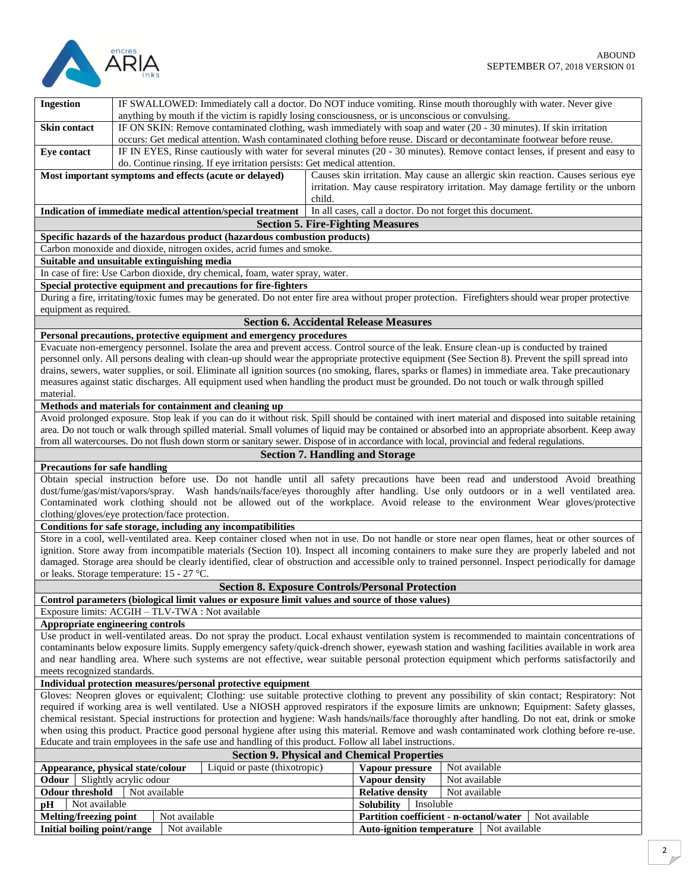

| <b>Ingestion</b>                                                                                                                                                                                                                                         | IF SWALLOWED: Immediately call a doctor. Do NOT induce vomiting. Rinse mouth thoroughly with water. Never give<br>anything by mouth if the victim is rapidly losing consciousness, or is unconscious or convulsing.                             |  |                                                           |               |                                                                                                                                                                     |  |
|----------------------------------------------------------------------------------------------------------------------------------------------------------------------------------------------------------------------------------------------------------|-------------------------------------------------------------------------------------------------------------------------------------------------------------------------------------------------------------------------------------------------|--|-----------------------------------------------------------|---------------|---------------------------------------------------------------------------------------------------------------------------------------------------------------------|--|
| <b>Skin contact</b>                                                                                                                                                                                                                                      | IF ON SKIN: Remove contaminated clothing, wash immediately with soap and water (20 - 30 minutes). If skin irritation<br>occurs: Get medical attention. Wash contaminated clothing before reuse. Discard or decontaminate footwear before reuse. |  |                                                           |               |                                                                                                                                                                     |  |
|                                                                                                                                                                                                                                                          | IF IN EYES, Rinse cautiously with water for several minutes (20 - 30 minutes). Remove contact lenses, if present and easy to                                                                                                                    |  |                                                           |               |                                                                                                                                                                     |  |
| Eye contact                                                                                                                                                                                                                                              | do. Continue rinsing. If eye irritation persists: Get medical attention.                                                                                                                                                                        |  |                                                           |               |                                                                                                                                                                     |  |
|                                                                                                                                                                                                                                                          |                                                                                                                                                                                                                                                 |  |                                                           |               |                                                                                                                                                                     |  |
| Most important symptoms and effects (acute or delayed)<br>child.                                                                                                                                                                                         |                                                                                                                                                                                                                                                 |  |                                                           |               | Causes skin irritation. May cause an allergic skin reaction. Causes serious eye<br>irritation. May cause respiratory irritation. May damage fertility or the unborn |  |
|                                                                                                                                                                                                                                                          | Indication of immediate medical attention/special treatment                                                                                                                                                                                     |  | In all cases, call a doctor. Do not forget this document. |               |                                                                                                                                                                     |  |
|                                                                                                                                                                                                                                                          |                                                                                                                                                                                                                                                 |  | <b>Section 5. Fire-Fighting Measures</b>                  |               |                                                                                                                                                                     |  |
|                                                                                                                                                                                                                                                          | Specific hazards of the hazardous product (hazardous combustion products)                                                                                                                                                                       |  |                                                           |               |                                                                                                                                                                     |  |
|                                                                                                                                                                                                                                                          | Carbon monoxide and dioxide, nitrogen oxides, acrid fumes and smoke.                                                                                                                                                                            |  |                                                           |               |                                                                                                                                                                     |  |
|                                                                                                                                                                                                                                                          | Suitable and unsuitable extinguishing media                                                                                                                                                                                                     |  |                                                           |               |                                                                                                                                                                     |  |
|                                                                                                                                                                                                                                                          | In case of fire: Use Carbon dioxide, dry chemical, foam, water spray, water.                                                                                                                                                                    |  |                                                           |               |                                                                                                                                                                     |  |
|                                                                                                                                                                                                                                                          | Special protective equipment and precautions for fire-fighters                                                                                                                                                                                  |  |                                                           |               |                                                                                                                                                                     |  |
|                                                                                                                                                                                                                                                          | During a fire, irritating/toxic fumes may be generated. Do not enter fire area without proper protection. Firefighters should wear proper protective                                                                                            |  |                                                           |               |                                                                                                                                                                     |  |
| equipment as required.                                                                                                                                                                                                                                   |                                                                                                                                                                                                                                                 |  |                                                           |               |                                                                                                                                                                     |  |
|                                                                                                                                                                                                                                                          |                                                                                                                                                                                                                                                 |  | <b>Section 6. Accidental Release Measures</b>             |               |                                                                                                                                                                     |  |
|                                                                                                                                                                                                                                                          | Personal precautions, protective equipment and emergency procedures                                                                                                                                                                             |  |                                                           |               |                                                                                                                                                                     |  |
|                                                                                                                                                                                                                                                          | Evacuate non-emergency personnel. Isolate the area and prevent access. Control source of the leak. Ensure clean-up is conducted by trained                                                                                                      |  |                                                           |               |                                                                                                                                                                     |  |
|                                                                                                                                                                                                                                                          | personnel only. All persons dealing with clean-up should wear the appropriate protective equipment (See Section 8). Prevent the spill spread into                                                                                               |  |                                                           |               |                                                                                                                                                                     |  |
|                                                                                                                                                                                                                                                          | drains, sewers, water supplies, or soil. Eliminate all ignition sources (no smoking, flares, sparks or flames) in immediate area. Take precautionary                                                                                            |  |                                                           |               |                                                                                                                                                                     |  |
|                                                                                                                                                                                                                                                          | measures against static discharges. All equipment used when handling the product must be grounded. Do not touch or walk through spilled                                                                                                         |  |                                                           |               |                                                                                                                                                                     |  |
| material.                                                                                                                                                                                                                                                |                                                                                                                                                                                                                                                 |  |                                                           |               |                                                                                                                                                                     |  |
|                                                                                                                                                                                                                                                          | Methods and materials for containment and cleaning up                                                                                                                                                                                           |  |                                                           |               |                                                                                                                                                                     |  |
|                                                                                                                                                                                                                                                          | Avoid prolonged exposure. Stop leak if you can do it without risk. Spill should be contained with inert material and disposed into suitable retaining                                                                                           |  |                                                           |               |                                                                                                                                                                     |  |
|                                                                                                                                                                                                                                                          | area. Do not touch or walk through spilled material. Small volumes of liquid may be contained or absorbed into an appropriate absorbent. Keep away                                                                                              |  |                                                           |               |                                                                                                                                                                     |  |
|                                                                                                                                                                                                                                                          | from all watercourses. Do not flush down storm or sanitary sewer. Dispose of in accordance with local, provincial and federal regulations.                                                                                                      |  |                                                           |               |                                                                                                                                                                     |  |
|                                                                                                                                                                                                                                                          |                                                                                                                                                                                                                                                 |  | <b>Section 7. Handling and Storage</b>                    |               |                                                                                                                                                                     |  |
| <b>Precautions for safe handling</b>                                                                                                                                                                                                                     |                                                                                                                                                                                                                                                 |  |                                                           |               |                                                                                                                                                                     |  |
|                                                                                                                                                                                                                                                          | Obtain special instruction before use. Do not handle until all safety precautions have been read and understood Avoid breathing                                                                                                                 |  |                                                           |               |                                                                                                                                                                     |  |
|                                                                                                                                                                                                                                                          | dust/fume/gas/mist/vapors/spray. Wash hands/nails/face/eyes thoroughly after handling. Use only outdoors or in a well ventilated area.                                                                                                          |  |                                                           |               |                                                                                                                                                                     |  |
|                                                                                                                                                                                                                                                          | Contaminated work clothing should not be allowed out of the workplace. Avoid release to the environment Wear gloves/protective                                                                                                                  |  |                                                           |               |                                                                                                                                                                     |  |
|                                                                                                                                                                                                                                                          | clothing/gloves/eye protection/face protection.                                                                                                                                                                                                 |  |                                                           |               |                                                                                                                                                                     |  |
|                                                                                                                                                                                                                                                          | Conditions for safe storage, including any incompatibilities                                                                                                                                                                                    |  |                                                           |               |                                                                                                                                                                     |  |
|                                                                                                                                                                                                                                                          | Store in a cool, well-ventilated area. Keep container closed when not in use. Do not handle or store near open flames, heat or other sources of                                                                                                 |  |                                                           |               |                                                                                                                                                                     |  |
|                                                                                                                                                                                                                                                          | ignition. Store away from incompatible materials (Section 10). Inspect all incoming containers to make sure they are properly labeled and not                                                                                                   |  |                                                           |               |                                                                                                                                                                     |  |
|                                                                                                                                                                                                                                                          | damaged. Storage area should be clearly identified, clear of obstruction and accessible only to trained personnel. Inspect periodically for damage                                                                                              |  |                                                           |               |                                                                                                                                                                     |  |
| or leaks. Storage temperature: 15 - 27 °C.                                                                                                                                                                                                               |                                                                                                                                                                                                                                                 |  |                                                           |               |                                                                                                                                                                     |  |
| <b>Section 8. Exposure Controls/Personal Protection</b>                                                                                                                                                                                                  |                                                                                                                                                                                                                                                 |  |                                                           |               |                                                                                                                                                                     |  |
| Control parameters (biological limit values or exposure limit values and source of those values)                                                                                                                                                         |                                                                                                                                                                                                                                                 |  |                                                           |               |                                                                                                                                                                     |  |
| Exposure limits: ACGIH - TLV-TWA : Not available                                                                                                                                                                                                         |                                                                                                                                                                                                                                                 |  |                                                           |               |                                                                                                                                                                     |  |
| Appropriate engineering controls                                                                                                                                                                                                                         |                                                                                                                                                                                                                                                 |  |                                                           |               |                                                                                                                                                                     |  |
| Use product in well-ventilated areas. Do not spray the product. Local exhaust ventilation system is recommended to maintain concentrations of                                                                                                            |                                                                                                                                                                                                                                                 |  |                                                           |               |                                                                                                                                                                     |  |
| contaminants below exposure limits. Supply emergency safety/quick-drench shower, eyewash station and washing facilities available in work area                                                                                                           |                                                                                                                                                                                                                                                 |  |                                                           |               |                                                                                                                                                                     |  |
| and near handling area. Where such systems are not effective, wear suitable personal protection equipment which performs satisfactorily and                                                                                                              |                                                                                                                                                                                                                                                 |  |                                                           |               |                                                                                                                                                                     |  |
| meets recognized standards.                                                                                                                                                                                                                              |                                                                                                                                                                                                                                                 |  |                                                           |               |                                                                                                                                                                     |  |
| Individual protection measures/personal protective equipment                                                                                                                                                                                             |                                                                                                                                                                                                                                                 |  |                                                           |               |                                                                                                                                                                     |  |
| Gloves: Neopren gloves or equivalent; Clothing: use suitable protective clothing to prevent any possibility of skin contact; Respiratory: Not                                                                                                            |                                                                                                                                                                                                                                                 |  |                                                           |               |                                                                                                                                                                     |  |
| required if working area is well ventilated. Use a NIOSH approved respirators if the exposure limits are unknown; Equipment: Safety glasses,                                                                                                             |                                                                                                                                                                                                                                                 |  |                                                           |               |                                                                                                                                                                     |  |
| chemical resistant. Special instructions for protection and hygiene: Wash hands/nails/face thoroughly after handling. Do not eat, drink or smoke                                                                                                         |                                                                                                                                                                                                                                                 |  |                                                           |               |                                                                                                                                                                     |  |
| when using this product. Practice good personal hygiene after using this material. Remove and wash contaminated work clothing before re-use.<br>Educate and train employees in the safe use and handling of this product. Follow all label instructions. |                                                                                                                                                                                                                                                 |  |                                                           |               |                                                                                                                                                                     |  |
|                                                                                                                                                                                                                                                          |                                                                                                                                                                                                                                                 |  |                                                           |               |                                                                                                                                                                     |  |
| <b>Section 9. Physical and Chemical Properties</b>                                                                                                                                                                                                       |                                                                                                                                                                                                                                                 |  |                                                           |               |                                                                                                                                                                     |  |
|                                                                                                                                                                                                                                                          | Liquid or paste (thixotropic)<br>Appearance, physical state/colour                                                                                                                                                                              |  | Vapour pressure                                           | Not available |                                                                                                                                                                     |  |
| Odour                                                                                                                                                                                                                                                    | Slightly acrylic odour                                                                                                                                                                                                                          |  | Vapour density                                            | Not available |                                                                                                                                                                     |  |
| Not available<br><b>Odour threshold</b>                                                                                                                                                                                                                  |                                                                                                                                                                                                                                                 |  | <b>Relative density</b>                                   | Not available |                                                                                                                                                                     |  |
| Not available<br>рH                                                                                                                                                                                                                                      |                                                                                                                                                                                                                                                 |  | Solubility<br>Insoluble                                   |               |                                                                                                                                                                     |  |
| Not available<br>Melting/freezing point                                                                                                                                                                                                                  |                                                                                                                                                                                                                                                 |  | Partition coefficient - n-octanol/water                   |               | Not available                                                                                                                                                       |  |
| Initial boiling point/range<br>Not available<br><b>Auto-ignition temperature</b><br>Not available                                                                                                                                                        |                                                                                                                                                                                                                                                 |  |                                                           |               |                                                                                                                                                                     |  |
|                                                                                                                                                                                                                                                          |                                                                                                                                                                                                                                                 |  |                                                           |               |                                                                                                                                                                     |  |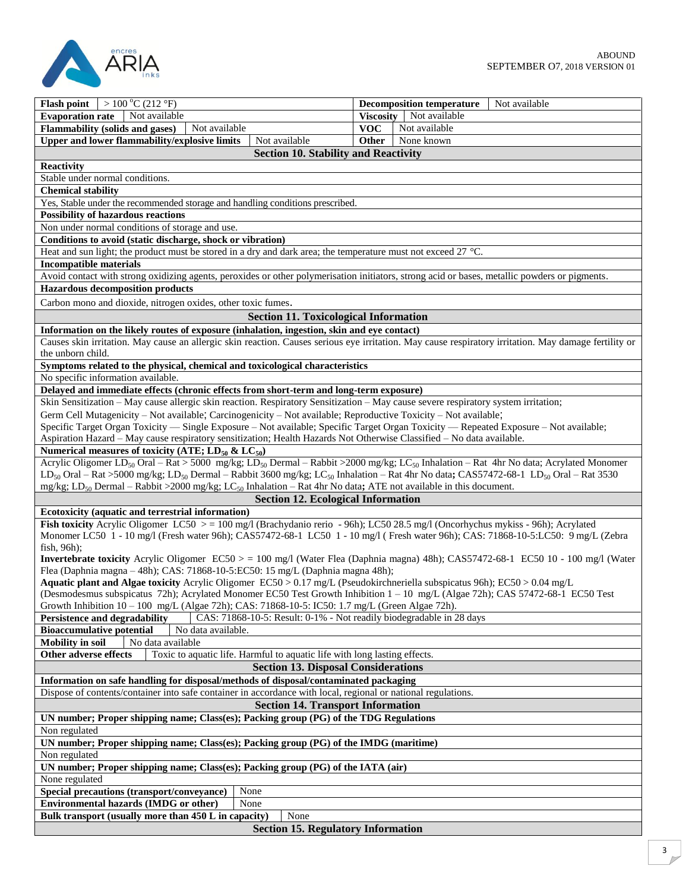

| $>100\,^{\circ}$ C (212 $^{\circ}$ F)<br><b>Flash point</b>                                                                             |                                              |            | Not available<br><b>Decomposition temperature</b>                                                                                                                                   |  |  |  |
|-----------------------------------------------------------------------------------------------------------------------------------------|----------------------------------------------|------------|-------------------------------------------------------------------------------------------------------------------------------------------------------------------------------------|--|--|--|
| <b>Evaporation rate</b><br>Not available                                                                                                |                                              |            | Viscosity   Not available                                                                                                                                                           |  |  |  |
| <b>Flammability (solids and gases)</b><br>Not available                                                                                 |                                              | <b>VOC</b> | Not available                                                                                                                                                                       |  |  |  |
| Upper and lower flammability/explosive limits                                                                                           | Not available                                | Other      | None known                                                                                                                                                                          |  |  |  |
|                                                                                                                                         |                                              |            |                                                                                                                                                                                     |  |  |  |
|                                                                                                                                         | <b>Section 10. Stability and Reactivity</b>  |            |                                                                                                                                                                                     |  |  |  |
| <b>Reactivity</b>                                                                                                                       |                                              |            |                                                                                                                                                                                     |  |  |  |
| Stable under normal conditions.                                                                                                         |                                              |            |                                                                                                                                                                                     |  |  |  |
| <b>Chemical stability</b>                                                                                                               |                                              |            |                                                                                                                                                                                     |  |  |  |
| Yes, Stable under the recommended storage and handling conditions prescribed.                                                           |                                              |            |                                                                                                                                                                                     |  |  |  |
| <b>Possibility of hazardous reactions</b>                                                                                               |                                              |            |                                                                                                                                                                                     |  |  |  |
|                                                                                                                                         |                                              |            |                                                                                                                                                                                     |  |  |  |
| Non under normal conditions of storage and use.                                                                                         |                                              |            |                                                                                                                                                                                     |  |  |  |
| Conditions to avoid (static discharge, shock or vibration)                                                                              |                                              |            |                                                                                                                                                                                     |  |  |  |
| Heat and sun light; the product must be stored in a dry and dark area; the temperature must not exceed 27 °C.                           |                                              |            |                                                                                                                                                                                     |  |  |  |
| <b>Incompatible materials</b>                                                                                                           |                                              |            |                                                                                                                                                                                     |  |  |  |
|                                                                                                                                         |                                              |            | Avoid contact with strong oxidizing agents, peroxides or other polymerisation initiators, strong acid or bases, metallic powders or pigments.                                       |  |  |  |
| <b>Hazardous decomposition products</b>                                                                                                 |                                              |            |                                                                                                                                                                                     |  |  |  |
|                                                                                                                                         |                                              |            |                                                                                                                                                                                     |  |  |  |
| Carbon mono and dioxide, nitrogen oxides, other toxic fumes.                                                                            |                                              |            |                                                                                                                                                                                     |  |  |  |
|                                                                                                                                         | <b>Section 11. Toxicological Information</b> |            |                                                                                                                                                                                     |  |  |  |
| Information on the likely routes of exposure (inhalation, ingestion, skin and eye contact)                                              |                                              |            |                                                                                                                                                                                     |  |  |  |
|                                                                                                                                         |                                              |            | Causes skin irritation. May cause an allergic skin reaction. Causes serious eye irritation. May cause respiratory irritation. May damage fertility or                               |  |  |  |
| the unborn child.                                                                                                                       |                                              |            |                                                                                                                                                                                     |  |  |  |
|                                                                                                                                         |                                              |            |                                                                                                                                                                                     |  |  |  |
| Symptoms related to the physical, chemical and toxicological characteristics                                                            |                                              |            |                                                                                                                                                                                     |  |  |  |
| No specific information available.                                                                                                      |                                              |            |                                                                                                                                                                                     |  |  |  |
| Delayed and immediate effects (chronic effects from short-term and long-term exposure)                                                  |                                              |            |                                                                                                                                                                                     |  |  |  |
| Skin Sensitization - May cause allergic skin reaction. Respiratory Sensitization - May cause severe respiratory system irritation;      |                                              |            |                                                                                                                                                                                     |  |  |  |
| Germ Cell Mutagenicity – Not available; Carcinogenicity – Not available; Reproductive Toxicity – Not available;                         |                                              |            |                                                                                                                                                                                     |  |  |  |
| Specific Target Organ Toxicity — Single Exposure - Not available; Specific Target Organ Toxicity — Repeated Exposure - Not available;   |                                              |            |                                                                                                                                                                                     |  |  |  |
| Aspiration Hazard - May cause respiratory sensitization; Health Hazards Not Otherwise Classified - No data available.                   |                                              |            |                                                                                                                                                                                     |  |  |  |
| Numerical measures of toxicity (ATE; $LD_{50}$ & $LC_{50}$ )                                                                            |                                              |            |                                                                                                                                                                                     |  |  |  |
|                                                                                                                                         |                                              |            | Acrylic Oligomer LD <sub>50</sub> Oral – Rat > 5000 mg/kg; LD <sub>50</sub> Dermal – Rabbit >2000 mg/kg; LC <sub>50</sub> Inhalation – Rat 4hr No data; Acrylated Monomer           |  |  |  |
|                                                                                                                                         |                                              |            |                                                                                                                                                                                     |  |  |  |
|                                                                                                                                         |                                              |            | LD <sub>50</sub> Oral – Rat >5000 mg/kg; LD <sub>50</sub> Dermal – Rabbit 3600 mg/kg; LC <sub>50</sub> Inhalation – Rat 4hr No data; CAS57472-68-1 LD <sub>50</sub> Oral – Rat 3530 |  |  |  |
| mg/kg; LD <sub>50</sub> Dermal – Rabbit >2000 mg/kg; LC <sub>50</sub> Inhalation – Rat 4hr No data; ATE not available in this document. |                                              |            |                                                                                                                                                                                     |  |  |  |
|                                                                                                                                         | <b>Section 12. Ecological Information</b>    |            |                                                                                                                                                                                     |  |  |  |
| Ecotoxicity (aquatic and terrestrial information)                                                                                       |                                              |            |                                                                                                                                                                                     |  |  |  |
| Fish toxicity Acrylic Oligomer LC50 $> = 100$ mg/l (Brachydanio rerio - 96h); LC50 28.5 mg/l (Oncorhychus mykiss - 96h); Acrylated      |                                              |            |                                                                                                                                                                                     |  |  |  |
|                                                                                                                                         |                                              |            | Monomer LC50 1 - 10 mg/l (Fresh water 96h); CAS57472-68-1 LC50 1 - 10 mg/l (Fresh water 96h); CAS: 71868-10-5:LC50: 9 mg/L (Zebra                                                   |  |  |  |
| fish, 96h);                                                                                                                             |                                              |            |                                                                                                                                                                                     |  |  |  |
|                                                                                                                                         |                                              |            | <b>Invertebrate toxicity</b> Acrylic Oligomer $EC50 > 100$ mg/l (Water Flea (Daphnia magna) 48h); CAS57472-68-1 EC50 10 - 100 mg/l (Water                                           |  |  |  |
| Flea (Daphnia magna - 48h); CAS: 71868-10-5:EC50: 15 mg/L (Daphnia magna 48h);                                                          |                                              |            |                                                                                                                                                                                     |  |  |  |
|                                                                                                                                         |                                              |            |                                                                                                                                                                                     |  |  |  |
| Aquatic plant and Algae toxicity Acrylic Oligomer EC50 > 0.17 mg/L (Pseudokirchneriella subspicatus 96h); EC50 > 0.04 mg/L              |                                              |            |                                                                                                                                                                                     |  |  |  |
| (Desmodesmus subspicatus 72h); Acrylated Monomer EC50 Test Growth Inhibition 1 – 10 mg/L (Algae 72h); CAS 57472-68-1 EC50 Test          |                                              |            |                                                                                                                                                                                     |  |  |  |
| Growth Inhibition 10 - 100 mg/L (Algae 72h); CAS: 71868-10-5: IC50: 1.7 mg/L (Green Algae 72h).                                         |                                              |            |                                                                                                                                                                                     |  |  |  |
| Persistence and degradability<br>CAS: 71868-10-5: Result: 0-1% - Not readily biodegradable in 28 days                                   |                                              |            |                                                                                                                                                                                     |  |  |  |
| <b>Bioaccumulative potential</b><br>No data available.                                                                                  |                                              |            |                                                                                                                                                                                     |  |  |  |
| <b>Mobility</b> in soil<br>No data available                                                                                            |                                              |            |                                                                                                                                                                                     |  |  |  |
| Toxic to aquatic life. Harmful to aquatic life with long lasting effects.<br>Other adverse effects                                      |                                              |            |                                                                                                                                                                                     |  |  |  |
| <b>Section 13. Disposal Considerations</b>                                                                                              |                                              |            |                                                                                                                                                                                     |  |  |  |
|                                                                                                                                         |                                              |            |                                                                                                                                                                                     |  |  |  |
| Information on safe handling for disposal/methods of disposal/contaminated packaging                                                    |                                              |            |                                                                                                                                                                                     |  |  |  |
| Dispose of contents/container into safe container in accordance with local, regional or national regulations.                           |                                              |            |                                                                                                                                                                                     |  |  |  |
| <b>Section 14. Transport Information</b>                                                                                                |                                              |            |                                                                                                                                                                                     |  |  |  |
| UN number; Proper shipping name; Class(es); Packing group (PG) of the TDG Regulations                                                   |                                              |            |                                                                                                                                                                                     |  |  |  |
| Non regulated                                                                                                                           |                                              |            |                                                                                                                                                                                     |  |  |  |
| UN number; Proper shipping name; Class(es); Packing group (PG) of the IMDG (maritime)                                                   |                                              |            |                                                                                                                                                                                     |  |  |  |
| Non regulated                                                                                                                           |                                              |            |                                                                                                                                                                                     |  |  |  |
|                                                                                                                                         |                                              |            |                                                                                                                                                                                     |  |  |  |
| UN number; Proper shipping name; Class(es); Packing group (PG) of the IATA (air)                                                        |                                              |            |                                                                                                                                                                                     |  |  |  |
| None regulated                                                                                                                          |                                              |            |                                                                                                                                                                                     |  |  |  |
| Special precautions (transport/conveyance)<br>None                                                                                      |                                              |            |                                                                                                                                                                                     |  |  |  |
| Environmental hazards (IMDG or other)<br>None                                                                                           |                                              |            |                                                                                                                                                                                     |  |  |  |
| Bulk transport (usually more than 450 L in capacity)                                                                                    | None                                         |            |                                                                                                                                                                                     |  |  |  |
| <b>Section 15. Regulatory Information</b>                                                                                               |                                              |            |                                                                                                                                                                                     |  |  |  |
|                                                                                                                                         |                                              |            |                                                                                                                                                                                     |  |  |  |